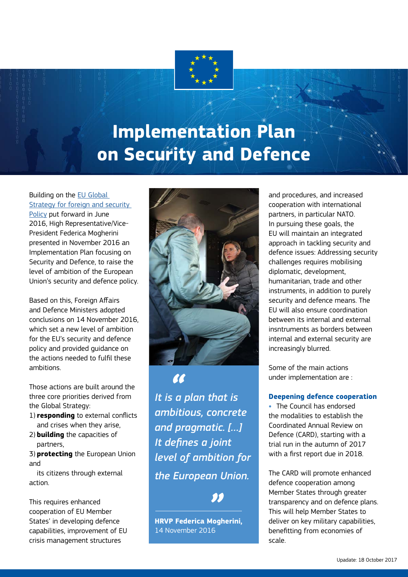

# **Implementation Plan on Security and Defence**

# Building on the [EU Global](https://europa.eu/globalstrategy/en/global-strategy-foreign-and-security-policy-european-union)  [Strategy for foreign and security](https://europa.eu/globalstrategy/en/global-strategy-foreign-and-security-policy-european-union)

[Policy](https://europa.eu/globalstrategy/en/global-strategy-foreign-and-security-policy-european-union) put forward in June 2016, High Representative/Vice-President Federica Mogherini presented in November 2016 an Implementation Plan focusing on Security and Defence, to raise the level of ambition of the European Union's security and defence policy.

Based on this, Foreign Affairs and Defence Ministers adopted conclusions on 14 November 2016, which set a new level of ambition for the EU's security and defence policy and provided guidance on the actions needed to fulfil these ambitions.

Those actions are built around the three core priorities derived from the Global Strategy:

- 1) **responding** to external conflicts and crises when they arise,
- 2) **building** the capacities of partners,
- 3) **protecting** the European Union and

its citizens through external action.

This requires enhanced cooperation of EU Member States' in developing defence capabilities, improvement of EU crisis management structures



*It is a plan that is ambitious, concrete and pragmatic. […] It defines a joint level of ambition for the European Union.*

ЛJ.

**HRVP Federica Mogherini,** 14 November 2016

and procedures, and increased cooperation with international partners, in particular NATO. In pursuing these goals, the EU will maintain an integrated approach in tackling security and defence issues: Addressing security challenges requires mobilising diplomatic, development, humanitarian, trade and other instruments, in addition to purely security and defence means. The EU will also ensure coordination between its internal and external insntruments as borders between internal and external security are increasingly blurred.

Some of the main actions under implementation are :

### **Deepening defence cooperation**

**•** The Council has endorsed the modalities to establish the Coordinated Annual Review on Defence (CARD), starting with a trial run in the autumn of 2017 with a first report due in 2018.

The CARD will promote enhanced defence cooperation among Member States through greater transparency and on defence plans. This will help Member States to deliver on key military capabilities, benefitting from economies of scale.